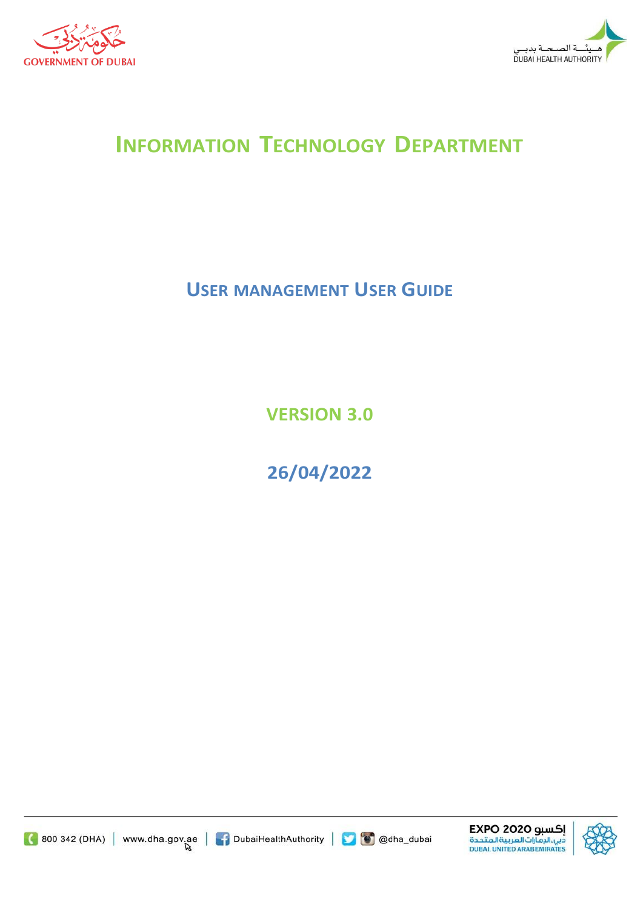



# **INFORMATION TECHNOLOGY DEPARTMENT**

## **USER MANAGEMENT USER GUIDE**

**VERSION 3.0**

**26/04/2022**





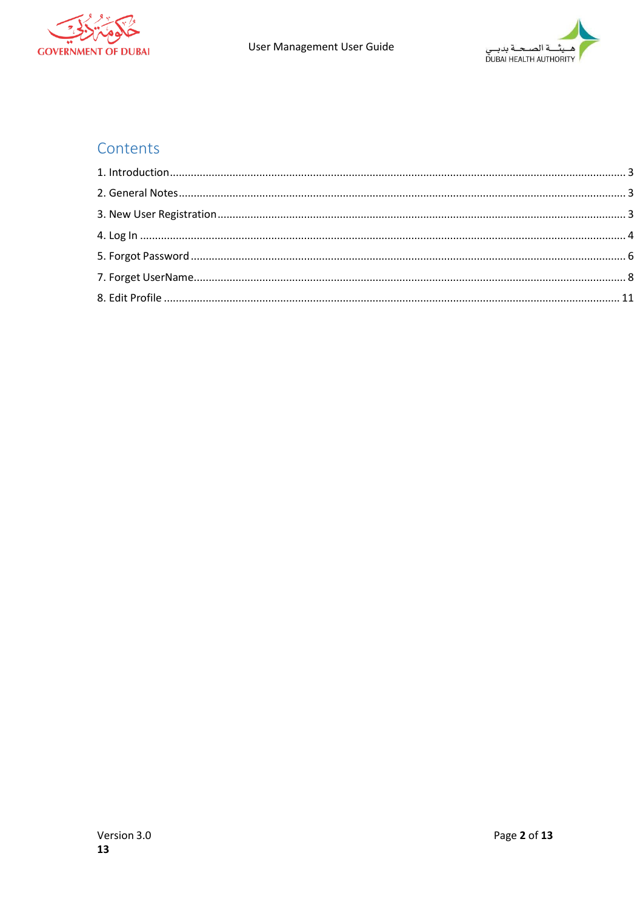



### Contents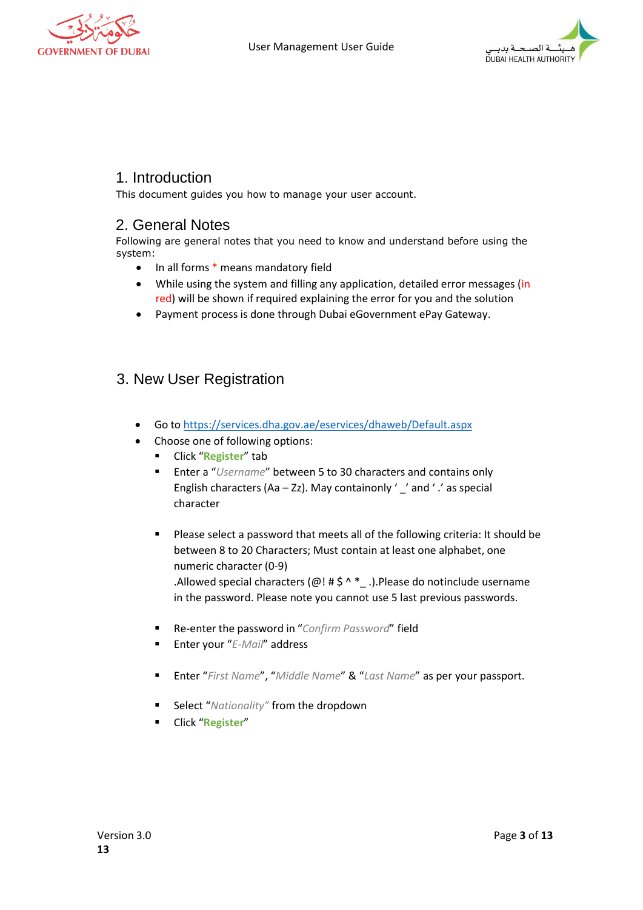



#### <span id="page-2-0"></span>1. Introduction

This document guides you how to manage your user account.

#### <span id="page-2-1"></span>2. General Notes

Following are general notes that you need to know and understand before using the system:

- In all forms \* means mandatory field
- While using the system and filling any application, detailed error messages (in red) will be shown if required explaining the error for you and the solution
- Payment process is done through Dubai eGovernment ePay Gateway.

#### <span id="page-2-2"></span>3. New User Registration

- Go to <https://services.dha.gov.ae/eservices/dhaweb/Default.aspx>
- Choose one of following options:
	- Click "**Register**" tab
	- Enter a "*Username*" between 5 to 30 characters and contains only English characters (Aa – Zz). May containonly  $'$   $\angle$  and  $'$   $\angle$  as special character
	- Please select a password that meets all of the following criteria: It should be between 8 to 20 Characters; Must contain at least one alphabet, one numeric character (0-9)

.Allowed special characters ( $@!$  # $\$$  ^  $*$   $\_$ .).Please do notinclude username in the password. Please note you cannot use 5 last previous passwords.

- Re-enter the password in "*Confirm Password*" field
- Enter your "*E-Mail*" address
- Enter "*First Name*", "*Middle Name*" & "*Last Name*" as per your passport.
- Select "*Nationality*" from the dropdown
- Click "**Register**"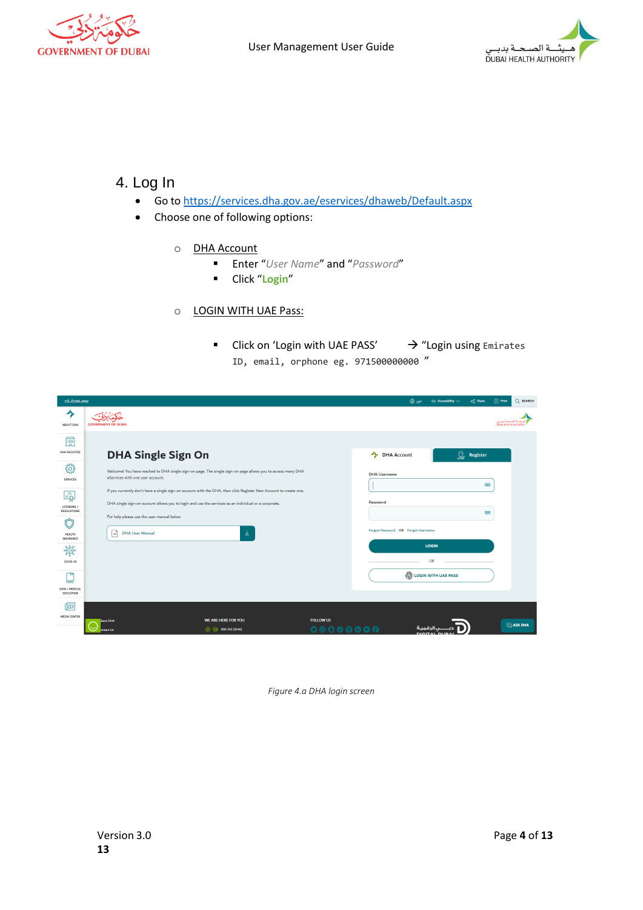



#### <span id="page-3-0"></span>4. Log In

- Go to <https://services.dha.gov.ae/eservices/dhaweb/Default.aspx>
- Choose one of following options:
	- o DHA Account
		- Enter "*User Name*" and "*Password*"
		- Click "**Login**"

#### o LOGIN WITH UAE Pass:

■ Click on 'Login with UAE PASS' → "Login using Emirates ID, email, orphone eg. 971500000000 "

| dubai.ae                               |                                                                                                                                                                                                                                                                      | $Q$ SEARCH<br>$\Box$ Print<br>عرب (∰<br>$\partial\Phi$ Accessibility $\vee$<br>oc Share                                  |
|----------------------------------------|----------------------------------------------------------------------------------------------------------------------------------------------------------------------------------------------------------------------------------------------------------------------|--------------------------------------------------------------------------------------------------------------------------|
| ੭<br>ABOUT DHA                         | <b>GOVERNMENT OF DURAL</b>                                                                                                                                                                                                                                           | لصبحنة بدبنى<br>DURAL HEALTH AUTHORIT                                                                                    |
| 厚<br>DHA FACILITIES                    | <b>DHA Single Sign On</b>                                                                                                                                                                                                                                            | ৣ<br>DHA Account<br>Register                                                                                             |
| छु<br>SERVICES                         | Welcome! You have reached to DHA single sign-on page. The single sign-on page allows you to access many DHA<br>eServices with one user account.<br>If you currently don't have a single sign-on account with the DHA, then click Register New Account to create one. | <b>DHA Username</b><br><b>READ</b>                                                                                       |
| Ę<br>LICENSING /<br>REGULATIONS<br>门   | DHA single sign-on account allows you to login and use the services as an individual or a corporate.<br>For help please use the user manual below                                                                                                                    | Password<br>$\frac{1}{2}$                                                                                                |
| HEALTH<br>INSURANCE                    | <sup> </sup><br><b>DHA User Manual</b><br>业                                                                                                                                                                                                                          | Forgot Password OR Forgot Username<br>LOGIN                                                                              |
| **<br>COVID-19                         |                                                                                                                                                                                                                                                                      | OR                                                                                                                       |
| תד<br>⋿<br>DATA / MEDICAL<br>EDUCATION |                                                                                                                                                                                                                                                                      | LOGIN WITH UAE PASS                                                                                                      |
| 侗<br><b>MEDIA CENTER</b>               | WE ARE HERE FOR YOU<br>bout DHA<br><b>800 342 (DHA)</b><br><b>Contact Us</b>                                                                                                                                                                                         | <b>FOLLOW US</b><br>$\Box$ ASK DHA<br>$\begin{array}{ccccc}\n\circ & \circ & \circ & \circ & \circ & \circ\n\end{array}$ |

*Figure 4.a DHA login screen*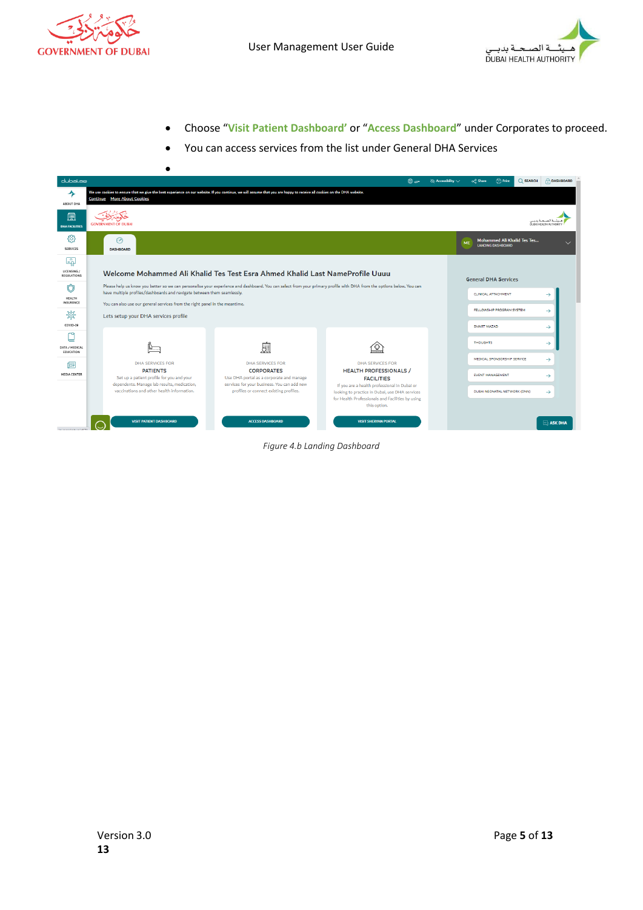

•



- Choose "**Visit Patient Dashboard'** or "**Access Dashboard**" under Corporates to proceed.
- You can access services from the list under General DHA Services

| dubai.ae                                 |                                                                                                                                                                                                               |                                                                                                                                                                       | عربي ∰                                                                                                                                                                  | √ Accessibility ∨ | <b>d</b> Print<br>oce Share                             | C SEARCH                       | <b>DASHBOARD</b> |
|------------------------------------------|---------------------------------------------------------------------------------------------------------------------------------------------------------------------------------------------------------------|-----------------------------------------------------------------------------------------------------------------------------------------------------------------------|-------------------------------------------------------------------------------------------------------------------------------------------------------------------------|-------------------|---------------------------------------------------------|--------------------------------|------------------|
| ᄾ<br>ABOUT DHA                           | We use cookies to ensure that we give the best experience on our website. If you continue, we will assume that you are happy to receive all cookies on the DHA website.<br><b>Continue</b> More About Cookies |                                                                                                                                                                       |                                                                                                                                                                         |                   |                                                         |                                |                  |
| 臝<br><b>DHA FACILITIES</b>               | <b>GOVERNMENT OF DUBAI</b>                                                                                                                                                                                    |                                                                                                                                                                       |                                                                                                                                                                         |                   |                                                         | DUBN HEALTH AUTHORITY          |                  |
| දුලි<br><b>SERVICES</b>                  | ನಿ<br><b>DASHBOARD</b>                                                                                                                                                                                        |                                                                                                                                                                       |                                                                                                                                                                         | <b>ME</b>         | Mohammed Ali Khalid Tes Tes<br><b>LANDING DASHBOARD</b> |                                |                  |
| ا چ<br>LICENSING /<br><b>REGULATIONS</b> |                                                                                                                                                                                                               | Welcome Mohammed Ali Khalid Tes Test Esra Ahmed Khalid Last NameProfile Uuuu                                                                                          |                                                                                                                                                                         |                   | <b>General DHA Services</b>                             |                                |                  |
| HEALTH<br>INSURANCE                      | have multiple profiles/dashboards and navigate between them seamlessly.<br>You can also use our general services from the right panel in the meantime.                                                        | Please help us know you better so we can personalise your experience and dashboard. You can select from your primary profile with DHA from the options below. You can |                                                                                                                                                                         |                   | <b>CLINICAL ATTACHMENT</b>                              | →                              |                  |
| 资<br>COVID-19                            | Lets setup your DHA services profile                                                                                                                                                                          |                                                                                                                                                                       |                                                                                                                                                                         |                   | FELLOWSHIP PROGRAM SYSTEM<br>SMART MAZAD                | $\rightarrow$<br>$\rightarrow$ |                  |
| DATA / MEDICAL<br>EDUCATION              |                                                                                                                                                                                                               | 風                                                                                                                                                                     |                                                                                                                                                                         |                   | <b>THOUGHTS</b>                                         | $\rightarrow$                  |                  |
| 悔<br><b>MEDIA CENTER</b>                 | <b>DHA SERVICES FOR</b><br><b>PATIENTS</b>                                                                                                                                                                    | <b>DHA SERVICES FOR</b><br><b>CORPORATES</b>                                                                                                                          | DHA SERVICES FOR<br><b>HEALTH PROFESSIONALS /</b>                                                                                                                       |                   | MEDICAL SPONSORSHIP SERVICE<br><b>EVENT MANAGEMENT</b>  | $\rightarrow$                  |                  |
|                                          | Set up a patient profile for you and your<br>dependents. Manage lab results, medication,<br>vaccinations and other health information.                                                                        | Use DHA portal as a corporate and manage<br>services for your business. You can add new<br>profiles or connect existing profiles.                                     | <b>FACILITIES</b><br>If you are a health professional in Dubai or<br>looking to practice in Dubai, use DHA services<br>for Health Professionals and Facilities by using |                   | DUBAI NEONATAL NETWORK (DNN)                            | $\rightarrow$<br>$\rightarrow$ |                  |
| <b>Excessive Contractor</b>              | <b>VISIT PATIENT DASHBOARD</b>                                                                                                                                                                                | <b>ACCESS DASHBOARD</b>                                                                                                                                               | this option.<br><b>VISIT SHERYAN PORTAL</b>                                                                                                                             |                   |                                                         |                                | $\Box$ ASK DHA   |

*Figure 4.b Landing Dashboard*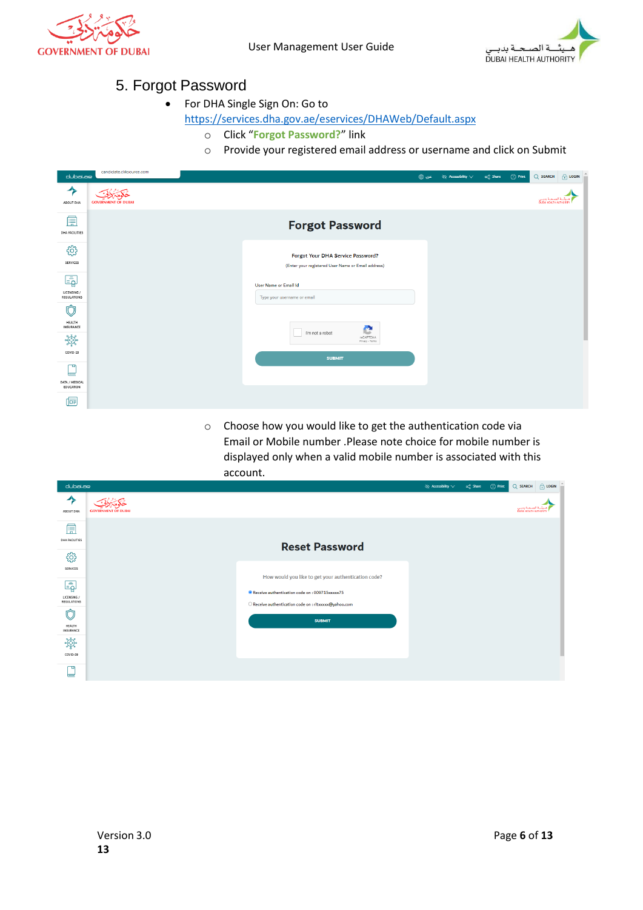<span id="page-5-0"></span>



#### 5. Forgot Password

• For DHA Single Sign On: Go to

<https://services.dha.gov.ae/eservices/DHAWeb/Default.aspx>

- o Click "**Forgot Password?**" link
- o Provide your registered email address or username and click on Submit

| dubai.ae                                         | candidate.cliksource.com   |                                                                                         | ∍ س@ | $\otimes$ Accessibility $\vee$ | $\alpha_0^0$ Share | $\binom{n}{2}$ Print | $Q$ SEARCH                                 | $\bigoplus$ LOGIN |
|--------------------------------------------------|----------------------------|-----------------------------------------------------------------------------------------|------|--------------------------------|--------------------|----------------------|--------------------------------------------|-------------------|
| ⅍<br>ABOUT DHA                                   | <b>GOVERNMENT OF DUBAI</b> |                                                                                         |      |                                |                    |                      | لصحنة بديس<br><b>DURAL HEALTH AUTHORIT</b> |                   |
| 峊<br>DHA FACILITIES                              |                            | <b>Forgot Password</b>                                                                  |      |                                |                    |                      |                                            |                   |
| ૹૢૺ<br>SERVICES                                  |                            | Forgot Your DHA Service Password?<br>(Enter your registered User Name or Email address) |      |                                |                    |                      |                                            |                   |
| $\bar{\mathbb{F}}$<br>LICENSING /<br>REGULATIONS |                            | <b>User Name or Email Id</b><br>Type your username or email                             |      |                                |                    |                      |                                            |                   |
| Û<br>HEALTH<br>INSURANCE                         |                            | e                                                                                       |      |                                |                    |                      |                                            |                   |
| aforo<br>COVID-19                                |                            | I'm not a robot<br>reCAPTCHA<br>Privacy - Terms<br><b>SUBMIT</b>                        |      |                                |                    |                      |                                            |                   |
| ঢ্ৰ<br>╘<br>DATA / MEDICAL<br>EDUCATION          |                            |                                                                                         |      |                                |                    |                      |                                            |                   |
| 屆                                                |                            |                                                                                         |      |                                |                    |                      |                                            |                   |

o Choose how you would like to get the authentication code via Email or Mobile number .Please note choice for mobile number is displayed only when a valid mobile number is associated with this account.

| dubai.ao                                                |                            |                                                                                                                                                               | $\infty$ Accessibility $\vee$ | o <sub>n</sub> <sup>o</sup> Share | <b>G</b> Print | Q SEARCH              | $\bigoplus$ LOGIN |
|---------------------------------------------------------|----------------------------|---------------------------------------------------------------------------------------------------------------------------------------------------------------|-------------------------------|-----------------------------------|----------------|-----------------------|-------------------|
| ⅍<br>ABOUT DHA                                          | <b>GOVERNMENT OF DUBAI</b> |                                                                                                                                                               |                               |                                   |                | DURAL HEALTH AUTHORIT |                   |
| 峊<br><b>DHA FACILITIES</b><br>सुरे                      |                            | <b>Reset Password</b>                                                                                                                                         |                               |                                   |                |                       |                   |
| SERVICES<br>$\bar{\Xi_2}$<br>LICENSING /<br>REGULATIONS |                            | How would you like to get your authentication code?<br>Receive authentication code on: 009715xxxxx75<br>O Receive authentication code on : ritxxxxx@yahoo.com |                               |                                   |                |                       |                   |
| Ò<br>HEALTH<br>INSURANCE<br><b>ofogo</b>                |                            | <b>SUBMIT</b>                                                                                                                                                 |                               |                                   |                |                       |                   |
| COVID-19<br>ঢা<br>=                                     |                            |                                                                                                                                                               |                               |                                   |                |                       |                   |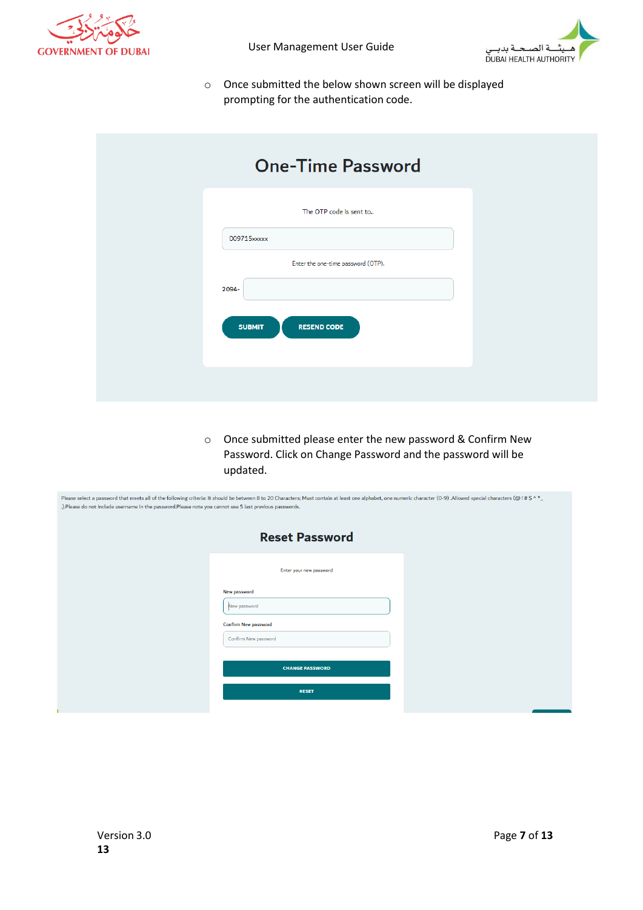



o Once submitted the below shown screen will be displayed prompting for the authentication code.

| <b>One-Time Password</b>            |
|-------------------------------------|
| The OTP code is sent to             |
| 009715xxxxx                         |
| Enter the one-time password (OTP).  |
| 2094-                               |
| <b>RESEND CODE</b><br><b>SUBMIT</b> |
|                                     |
|                                     |
|                                     |

o Once submitted please enter the new password & Confirm New Password. Click on Change Password and the password will be updated.

| .). Please do not include username in the password. Please note you cannot use 5 last previous passwords. | Please select a password that meets all of the following criteria: It should be between 8 to 20 Characters; Must contain at least one alphabet, one numeric character (0-9) .Allowed special characters (@!#\$^*_ |  |
|-----------------------------------------------------------------------------------------------------------|-------------------------------------------------------------------------------------------------------------------------------------------------------------------------------------------------------------------|--|
|                                                                                                           | <b>Reset Password</b>                                                                                                                                                                                             |  |
|                                                                                                           | Enter your new password                                                                                                                                                                                           |  |
|                                                                                                           | New password<br>New password                                                                                                                                                                                      |  |
|                                                                                                           | Confirm New password<br>Confirm New password                                                                                                                                                                      |  |
|                                                                                                           | <b>CHANGE PASSWORD</b>                                                                                                                                                                                            |  |
|                                                                                                           | <b>RESET</b>                                                                                                                                                                                                      |  |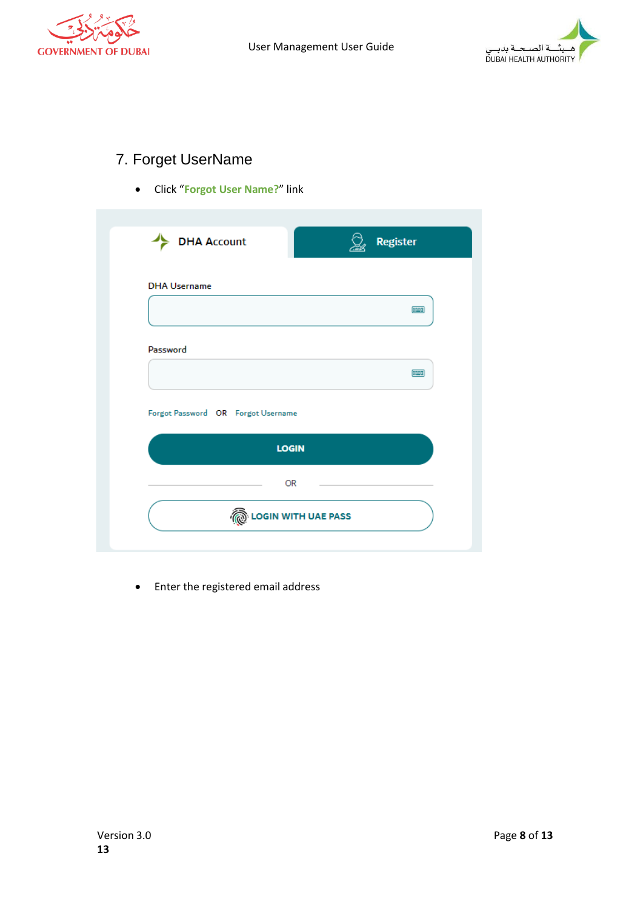



### <span id="page-7-0"></span>7. Forget UserName

• Click "**Forgot User Name?**" link

| <b>DHA Username</b> |                                    |             |
|---------------------|------------------------------------|-------------|
|                     |                                    | 医器          |
|                     |                                    |             |
| Password            |                                    |             |
|                     |                                    | <b>FEET</b> |
|                     | Forgot Password OR Forgot Username |             |
|                     | <b>LOGIN</b>                       |             |
|                     |                                    |             |

• Enter the registered email address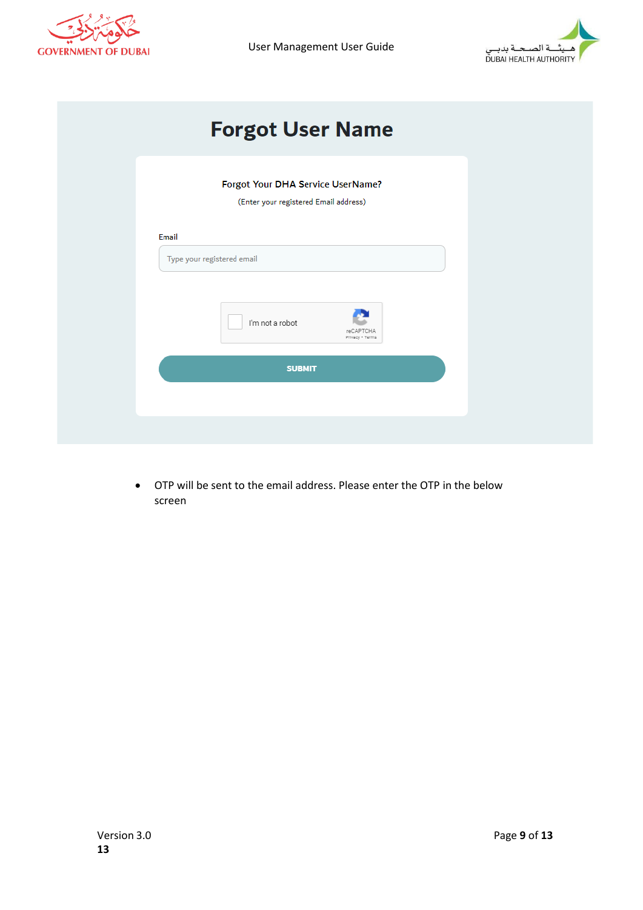

User Management User Guide



| <b>Forgot User Name</b>                                                    |  |
|----------------------------------------------------------------------------|--|
| Forgot Your DHA Service UserName?<br>(Enter your registered Email address) |  |
| Email<br>Type your registered email                                        |  |
| I'm not a robot<br>reCAPTCHA<br>Privacy - Terms                            |  |
| <b>SUBMIT</b>                                                              |  |
|                                                                            |  |

• OTP will be sent to the email address. Please enter the OTP in the below screen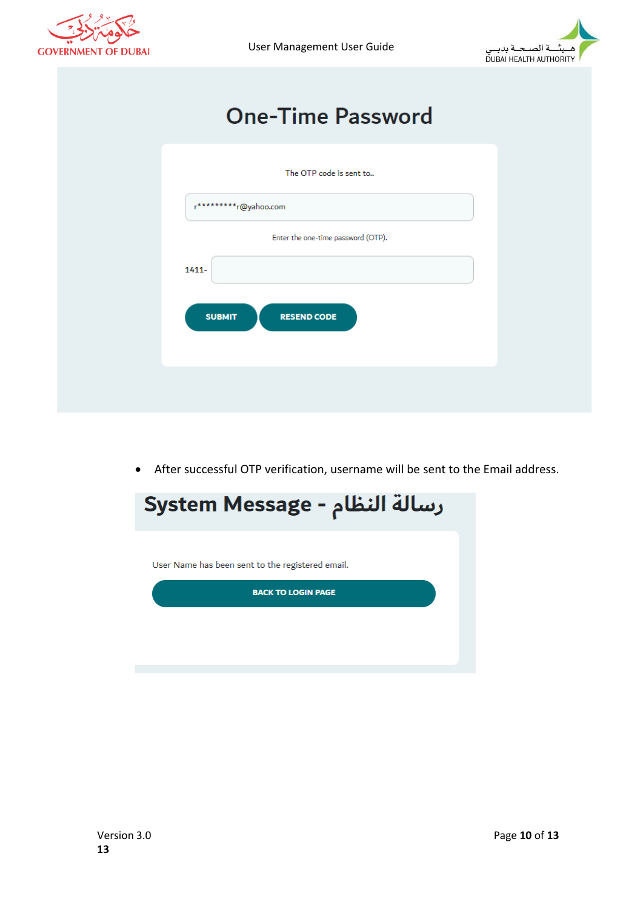

User Management User Guide



# **One-Time Password**

| The OTP code is sent to             |
|-------------------------------------|
| r*********r@yahoo.com               |
| Enter the one-time password (OTP).  |
| 1411-                               |
| <b>SUBMIT</b><br><b>RESEND CODE</b> |
|                                     |
|                                     |
|                                     |

• After successful OTP verification, username will be sent to the Email address.

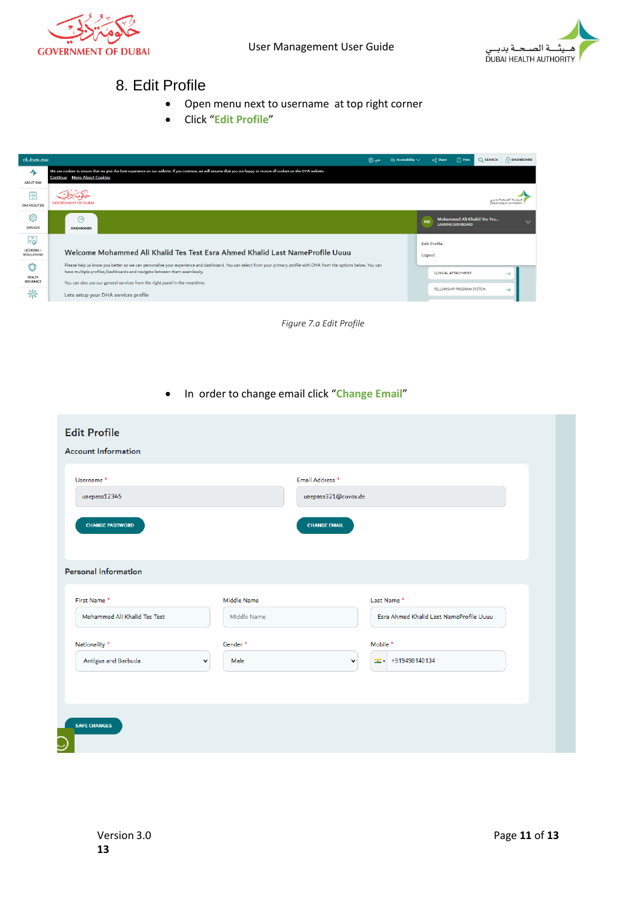<span id="page-10-0"></span>



#### 8. Edit Profile

- Open menu next to username at top right corner
- Click "**Edit Profile**"

| dubai.ae                           |                                                                                                                                                                                                                                                                                                                                 | ∂o Accessibility ∨ | od Share                      | $\Box$ Print                                                   | <b>Q</b> SEARCH | <b>DASHBOARD</b> |
|------------------------------------|---------------------------------------------------------------------------------------------------------------------------------------------------------------------------------------------------------------------------------------------------------------------------------------------------------------------------------|--------------------|-------------------------------|----------------------------------------------------------------|-----------------|------------------|
| ⅍<br>ABOUT DHA                     | We use cookies to ensure that we give the best experience on our website. If you continue, we will assume that you are happy to receive all cookies on the DHA website.<br><b>Continue</b> More About Cookies                                                                                                                   |                    |                               |                                                                |                 |                  |
| 臝<br><b>DHA FACILITIES</b>         | <b>GOVERNMENT OF DURAL</b>                                                                                                                                                                                                                                                                                                      |                    |                               |                                                                |                 |                  |
| සු<br><b>SERVICES</b>              | $\odot$<br><b>DASHBOARD</b>                                                                                                                                                                                                                                                                                                     |                    | ME                            | <b>Mohammed Ali Khalid Tes Tes</b><br><b>LANDING DASHBOARD</b> |                 | $\checkmark$     |
| لهًا<br>LICENSING /<br>REGULATIONS | Welcome Mohammed Ali Khalid Tes Test Esra Ahmed Khalid Last NameProfile Uuuu                                                                                                                                                                                                                                                    |                    | <b>Edit Profile</b><br>Logout |                                                                |                 |                  |
| Û<br>HEALTH<br>INSURANCE           | Please help us know you better so we can personalise your experience and dashboard. You can select from your primary profile with DHA from the options below. You can<br>have multiple profiles/dashboards and navigate between them seamlessly.<br>You can also use our general services from the right panel in the meantime. |                    |                               | <b>CLINICAL ATTACHMENT</b>                                     |                 | →                |
| 燉                                  | Lets setup your DHA services profile                                                                                                                                                                                                                                                                                            |                    |                               | FELLOWSHIP PROGRAM SYSTEM                                      |                 | →                |



• In order to change email click "**Change Email**"

| <b>Edit Profile</b><br><b>Account Information</b> |                            |                     |                                                        |
|---------------------------------------------------|----------------------------|---------------------|--------------------------------------------------------|
| Username <sup>*</sup>                             |                            | Email Address *     |                                                        |
| uaepass12345                                      |                            | uaepass321@cuvox.de |                                                        |
| <b>CHANGE PASSWORD</b>                            |                            | <b>CHANGE EMAIL</b> |                                                        |
| <b>Personal Information</b>                       |                            |                     |                                                        |
| First Name*<br>Mohammed Ali Khalid Tes Test       | Middle Name<br>Middle Name |                     | Last Name *<br>Esra Ahmed Khalid Last NameProfile Uuuu |
|                                                   |                            |                     |                                                        |
| Nationality *                                     | Gender *                   |                     | Mobile *                                               |
| Antigua and Barbuda                               | Male<br>$\check{~}$        | $\checkmark$        | $\equiv -1919490140134$                                |
| <b>SAVE CHANGES</b>                               |                            |                     |                                                        |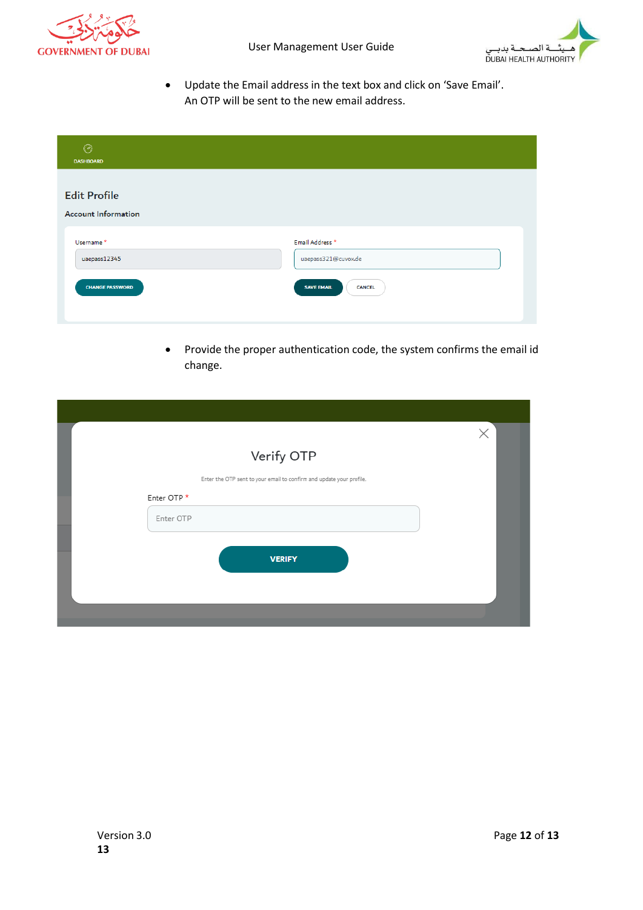



• Update the Email address in the text box and click on 'Save Email'. An OTP will be sent to the new email address.

| ⊙<br><b>DASHBOARD</b>                             |                                        |
|---------------------------------------------------|----------------------------------------|
| <b>Edit Profile</b><br><b>Account Information</b> |                                        |
| Username <sup>*</sup><br>uaepass12345             | Email Address *<br>uaepass321@cuvox.de |
| <b>CHANGE PASSWORD</b>                            | <b>SAVE EMAIL</b><br><b>CANCEL</b>     |

• Provide the proper authentication code, the system confirms the email id change.

|                                                                      | $\times$ |
|----------------------------------------------------------------------|----------|
| Verify OTP                                                           |          |
| Enter the OTP sent to your email to confirm and update your profile. |          |
| Enter OTP*                                                           |          |
| Enter OTP                                                            |          |
|                                                                      |          |
| <b>VERIFY</b>                                                        |          |
|                                                                      |          |
|                                                                      |          |
|                                                                      |          |